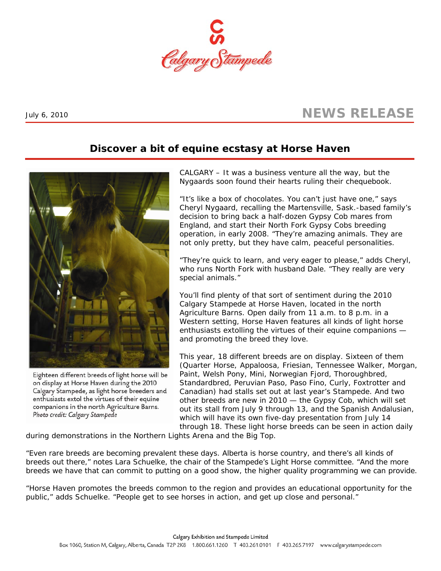

## July 6, 2010 **NEWS RELEASE**

## **Discover a bit of equine ecstasy at Horse Haven**



Eighteen different breeds of light horse will be on display at Horse Haven during the 2010 Calgary Stampede, as light horse breeders and enthusiasts extol the virtues of their equine companions in the north Agriculture Barns. Photo credit: Calgary Stampede

CALGARY – It was a business venture all the way, but the Nygaards soon found their hearts ruling their chequebook.

"It's like a box of chocolates. You can't just have one," says Cheryl Nygaard, recalling the Martensville, Sask.-based family's decision to bring back a half-dozen Gypsy Cob mares from England, and start their North Fork Gypsy Cobs breeding operation, in early 2008. "They're amazing animals. They are not only pretty, but they have calm, peaceful personalities.

"They're quick to learn, and very eager to please," adds Cheryl, who runs North Fork with husband Dale. "They really are very special animals."

You'll find plenty of that sort of sentiment during the 2010 Calgary Stampede at Horse Haven, located in the north Agriculture Barns. Open daily from 11 a.m. to 8 p.m. in a Western setting, Horse Haven features all kinds of light horse enthusiasts extolling the virtues of their equine companions and promoting the breed they love.

This year, 18 different breeds are on display. Sixteen of them (Quarter Horse, Appaloosa, Friesian, Tennessee Walker, Morgan, Paint, Welsh Pony, Mini, Norwegian Fjord, Thoroughbred, Standardbred, Peruvian Paso, Paso Fino, Curly, Foxtrotter and Canadian) had stalls set out at last year's Stampede. And two other breeds are new in 2010 — the Gypsy Cob, which will set out its stall from July 9 through 13, and the Spanish Andalusian, which will have its own five-day presentation from July 14 through 18. These light horse breeds can be seen in action daily

during demonstrations in the Northern Lights Arena and the Big Top.

"Even rare breeds are becoming prevalent these days. Alberta is horse country, and there's all kinds of breeds out there," notes Lara Schuelke, the chair of the Stampede's Light Horse committee. "And the more breeds we have that can commit to putting on a good show, the higher quality programming we can provide.

"Horse Haven promotes the breeds common to the region and provides an educational opportunity for the public," adds Schuelke. "People get to see horses in action, and get up close and personal."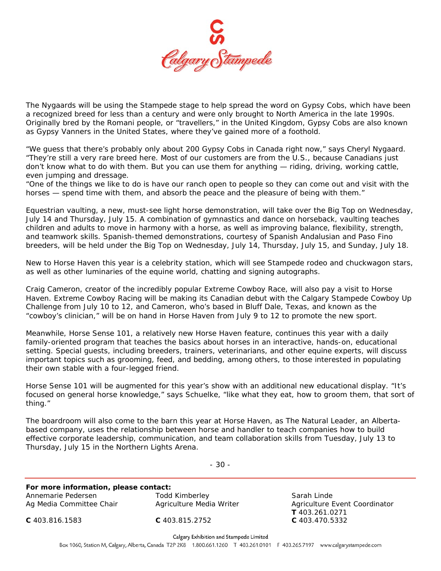

The Nygaards will be using the Stampede stage to help spread the word on Gypsy Cobs, which have been a recognized breed for less than a century and were only brought to North America in the late 1990s. Originally bred by the Romani people, or "travellers," in the United Kingdom, Gypsy Cobs are also known as Gypsy Vanners in the United States, where they've gained more of a foothold.

"We guess that there's probably only about 200 Gypsy Cobs in Canada right now," says Cheryl Nygaard. "They're still a very rare breed here. Most of our customers are from the U.S., because Canadians just don't know what to do with them. But you can use them for anything — riding, driving, working cattle, even jumping and dressage.

"One of the things we like to do is have our ranch open to people so they can come out and visit with the horses — spend time with them, and absorb the peace and the pleasure of being with them."

Equestrian vaulting, a new, must-see light horse demonstration, will take over the Big Top on Wednesday, July 14 and Thursday, July 15. A combination of gymnastics and dance on horseback, vaulting teaches children and adults to move in harmony with a horse, as well as improving balance, flexibility, strength, and teamwork skills. Spanish-themed demonstrations, courtesy of Spanish Andalusian and Paso Fino breeders, will be held under the Big Top on Wednesday, July 14, Thursday, July 15, and Sunday, July 18.

New to Horse Haven this year is a celebrity station, which will see Stampede rodeo and chuckwagon stars, as well as other luminaries of the equine world, chatting and signing autographs.

Craig Cameron, creator of the incredibly popular Extreme Cowboy Race, will also pay a visit to Horse Haven. Extreme Cowboy Racing will be making its Canadian debut with the Calgary Stampede Cowboy Up Challenge from July 10 to 12, and Cameron, who's based in Bluff Dale, Texas, and known as the "cowboy's clinician," will be on hand in Horse Haven from July 9 to 12 to promote the new sport.

Meanwhile, Horse Sense 101, a relatively new Horse Haven feature, continues this year with a daily family-oriented program that teaches the basics about horses in an interactive, hands-on, educational setting. Special guests, including breeders, trainers, veterinarians, and other equine experts, will discuss important topics such as grooming, feed, and bedding, among others, to those interested in populating their own stable with a four-legged friend.

Horse Sense 101 will be augmented for this year's show with an additional new educational display. "It's focused on general horse knowledge," says Schuelke, "like what they eat, how to groom them, that sort of thing."

The boardroom will also come to the barn this year at Horse Haven, as The Natural Leader, an Albertabased company, uses the relationship between horse and handler to teach companies how to build effective corporate leadership, communication, and team collaboration skills from Tuesday, July 13 to Thursday, July 15 in the Northern Lights Arena.

- 30 -

**For more information, please contact:**  Annemarie Pedersen Todd Kimberley Sarah Linde Ag Media Committee Chair **Agriculture Media Writer Agriculture Event Coordinator** 

 **T** 403.261.0271 **C** 403.816.1583 **C** 403.815.2752 **C** 403.470.5332